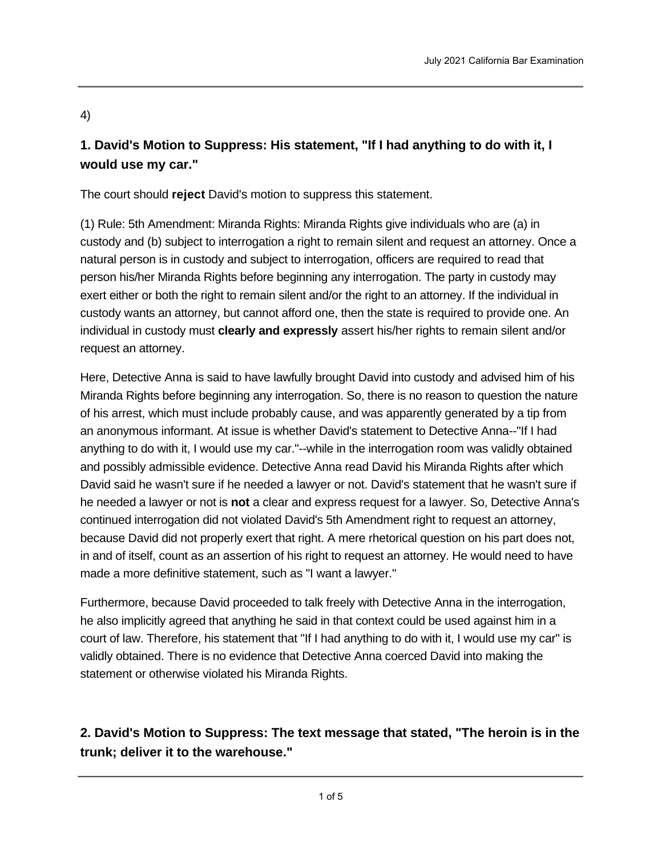## 4)

## **1. David's Motion to Suppress: His statement, "If I had anything to do with it, I would use my car."**

The court should **reject** David's motion to suppress this statement.

(1) Rule: 5th Amendment: Miranda Rights: Miranda Rights give individuals who are (a) in custody and (b) subject to interrogation a right to remain silent and request an attorney. Once a natural person is in custody and subject to interrogation, officers are required to read that person his/her Miranda Rights before beginning any interrogation. The party in custody may exert either or both the right to remain silent and/or the right to an attorney. If the individual in custody wants an attorney, but cannot afford one, then the state is required to provide one. An individual in custody must **clearly and expressly** assert his/her rights to remain silent and/or request an attorney.

Here, Detective Anna is said to have lawfully brought David into custody and advised him of his Miranda Rights before beginning any interrogation. So, there is no reason to question the nature of his arrest, which must include probably cause, and was apparently generated by a tip from an anonymous informant. At issue is whether David's statement to Detective Anna--"If I had anything to do with it, I would use my car."--while in the interrogation room was validly obtained and possibly admissible evidence. Detective Anna read David his Miranda Rights after which David said he wasn't sure if he needed a lawyer or not. David's statement that he wasn't sure if he needed a lawyer or not is **not** a clear and express request for a lawyer. So, Detective Anna's continued interrogation did not violated David's 5th Amendment right to request an attorney, because David did not properly exert that right. A mere rhetorical question on his part does not, in and of itself, count as an assertion of his right to request an attorney. He would need to have made a more definitive statement, such as "I want a lawyer."

Furthermore, because David proceeded to talk freely with Detective Anna in the interrogation, he also implicitly agreed that anything he said in that context could be used against him in a court of law. Therefore, his statement that "If I had anything to do with it, I would use my car" is validly obtained. There is no evidence that Detective Anna coerced David into making the statement or otherwise violated his Miranda Rights.

## **2. David's Motion to Suppress: The text message that stated, "The heroin is in the trunk; deliver it to the warehouse."**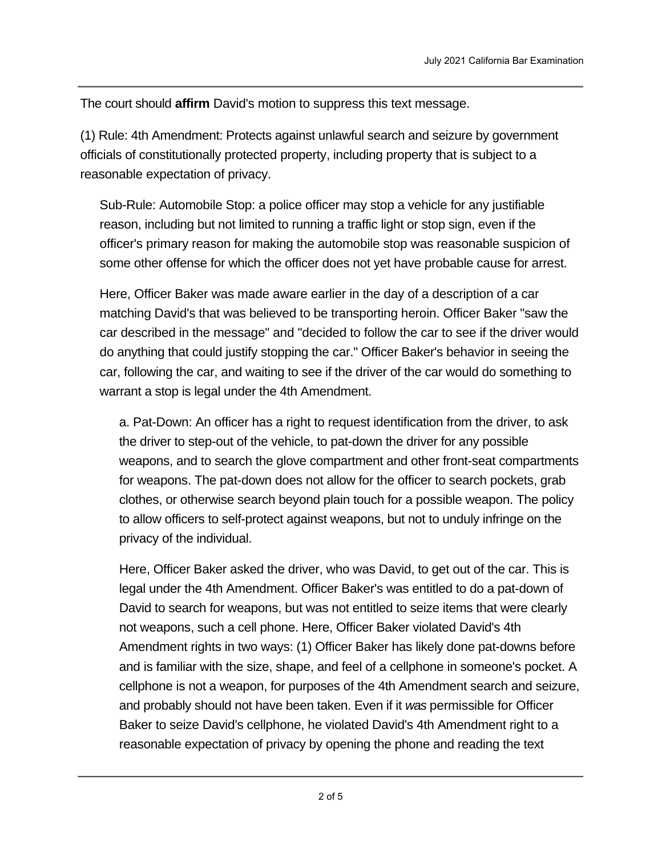The court should **affirm** David's motion to suppress this text message.

(1) Rule: 4th Amendment: Protects against unlawful search and seizure by government officials of constitutionally protected property, including property that is subject to a reasonable expectation of privacy.

Sub-Rule: Automobile Stop: a police officer may stop a vehicle for any justifiable reason, including but not limited to running a traffic light or stop sign, even if the officer's primary reason for making the automobile stop was reasonable suspicion of some other offense for which the officer does not yet have probable cause for arrest.

Here, Officer Baker was made aware earlier in the day of a description of a car matching David's that was believed to be transporting heroin. Officer Baker "saw the car described in the message" and "decided to follow the car to see if the driver would do anything that could justify stopping the car." Officer Baker's behavior in seeing the car, following the car, and waiting to see if the driver of the car would do something to warrant a stop is legal under the 4th Amendment.

a. Pat-Down: An officer has a right to request identification from the driver, to ask the driver to step-out of the vehicle, to pat-down the driver for any possible weapons, and to search the glove compartment and other front-seat compartments for weapons. The pat-down does not allow for the officer to search pockets, grab clothes, or otherwise search beyond plain touch for a possible weapon. The policy to allow officers to self-protect against weapons, but not to unduly infringe on the privacy of the individual.

Here, Officer Baker asked the driver, who was David, to get out of the car. This is legal under the 4th Amendment. Officer Baker's was entitled to do a pat-down of David to search for weapons, but was not entitled to seize items that were clearly not weapons, such a cell phone. Here, Officer Baker violated David's 4th Amendment rights in two ways: (1) Officer Baker has likely done pat-downs before and is familiar with the size, shape, and feel of a cellphone in someone's pocket. A cellphone is not a weapon, for purposes of the 4th Amendment search and seizure, and probably should not have been taken. Even if it *was* permissible for Officer Baker to seize David's cellphone, he violated David's 4th Amendment right to a reasonable expectation of privacy by opening the phone and reading the text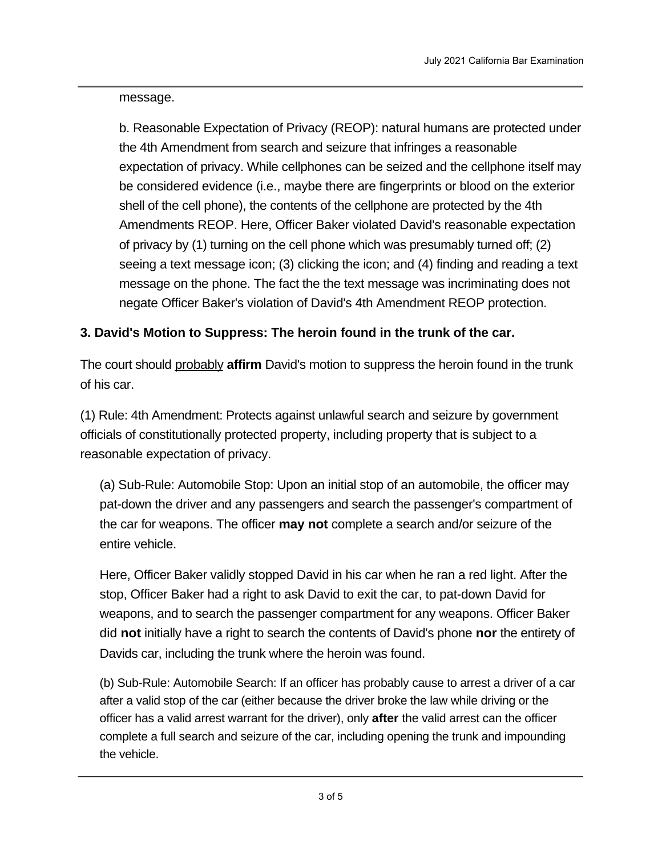message.

b. Reasonable Expectation of Privacy (REOP): natural humans are protected under the 4th Amendment from search and seizure that infringes a reasonable expectation of privacy. While cellphones can be seized and the cellphone itself may be considered evidence (i.e., maybe there are fingerprints or blood on the exterior shell of the cell phone), the contents of the cellphone are protected by the 4th Amendments REOP. Here, Officer Baker violated David's reasonable expectation of privacy by (1) turning on the cell phone which was presumably turned off; (2) seeing a text message icon; (3) clicking the icon; and (4) finding and reading a text message on the phone. The fact the the text message was incriminating does not negate Officer Baker's violation of David's 4th Amendment REOP protection.

## **3. David's Motion to Suppress: The heroin found in the trunk of the car.**

The court should probably **affirm** David's motion to suppress the heroin found in the trunk of his car.

(1) Rule: 4th Amendment: Protects against unlawful search and seizure by government officials of constitutionally protected property, including property that is subject to a reasonable expectation of privacy.

(a) Sub-Rule: Automobile Stop: Upon an initial stop of an automobile, the officer may pat-down the driver and any passengers and search the passenger's compartment of the car for weapons. The officer **may not** complete a search and/or seizure of the entire vehicle.

Here, Officer Baker validly stopped David in his car when he ran a red light. After the stop, Officer Baker had a right to ask David to exit the car, to pat-down David for weapons, and to search the passenger compartment for any weapons. Officer Baker did **not** initially have a right to search the contents of David's phone **nor** the entirety of Davids car, including the trunk where the heroin was found.

(b) Sub-Rule: Automobile Search: If an officer has probably cause to arrest a driver of a car after a valid stop of the car (either because the driver broke the law while driving or the officer has a valid arrest warrant for the driver), only **after** the valid arrest can the officer complete a full search and seizure of the car, including opening the trunk and impounding the vehicle.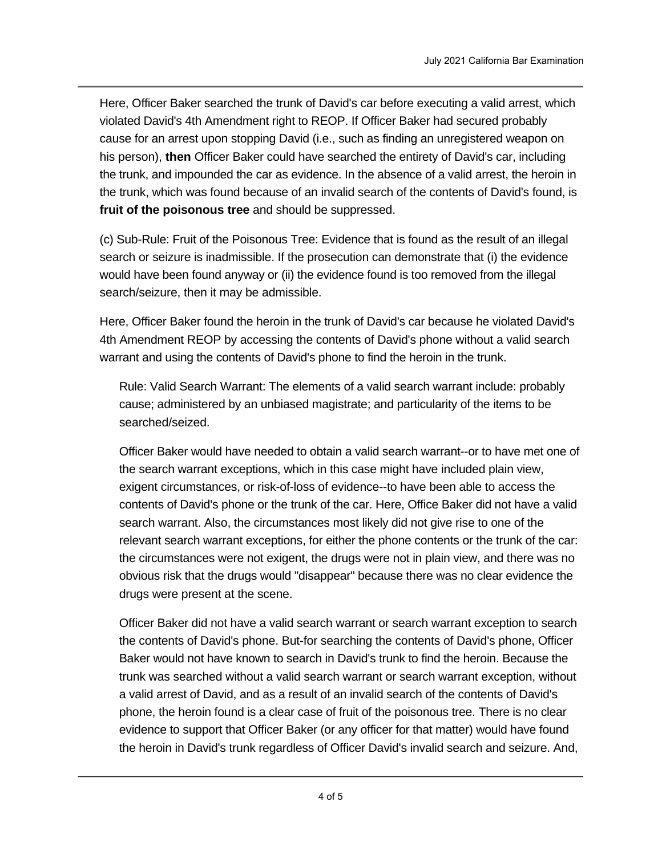Here, Officer Baker searched the trunk of David's car before executing a valid arrest, which violated David's 4th Amendment right to REOP. If Officer Baker had secured probably cause for an arrest upon stopping David (i.e., such as finding an unregistered weapon on his person), **then** Officer Baker could have searched the entirety of David's car, including the trunk, and impounded the car as evidence. In the absence of a valid arrest, the heroin in the trunk, which was found because of an invalid search of the contents of David's found, is **fruit of the poisonous tree** and should be suppressed.

(c) Sub-Rule: Fruit of the Poisonous Tree: Evidence that is found as the result of an illegal search or seizure is inadmissible. If the prosecution can demonstrate that (i) the evidence would have been found anyway or (ii) the evidence found is too removed from the illegal search/seizure, then it may be admissible.

Here, Officer Baker found the heroin in the trunk of David's car because he violated David's 4th Amendment REOP by accessing the contents of David's phone without a valid search warrant and using the contents of David's phone to find the heroin in the trunk.

Rule: Valid Search Warrant: The elements of a valid search warrant include: probably cause; administered by an unbiased magistrate; and particularity of the items to be searched/seized.

Officer Baker would have needed to obtain a valid search warrant--or to have met one of the search warrant exceptions, which in this case might have included plain view, exigent circumstances, or risk-of-loss of evidence--to have been able to access the contents of David's phone or the trunk of the car. Here, Office Baker did not have a valid search warrant. Also, the circumstances most likely did not give rise to one of the relevant search warrant exceptions, for either the phone contents or the trunk of the car: the circumstances were not exigent, the drugs were not in plain view, and there was no obvious risk that the drugs would "disappear" because there was no clear evidence the drugs were present at the scene.

Officer Baker did not have a valid search warrant or search warrant exception to search the contents of David's phone. But-for searching the contents of David's phone, Officer Baker would not have known to search in David's trunk to find the heroin. Because the trunk was searched without a valid search warrant or search warrant exception, without a valid arrest of David, and as a result of an invalid search of the contents of David's phone, the heroin found is a clear case of fruit of the poisonous tree. There is no clear evidence to support that Officer Baker (or any officer for that matter) would have found the heroin in David's trunk regardless of Officer David's invalid search and seizure. And,